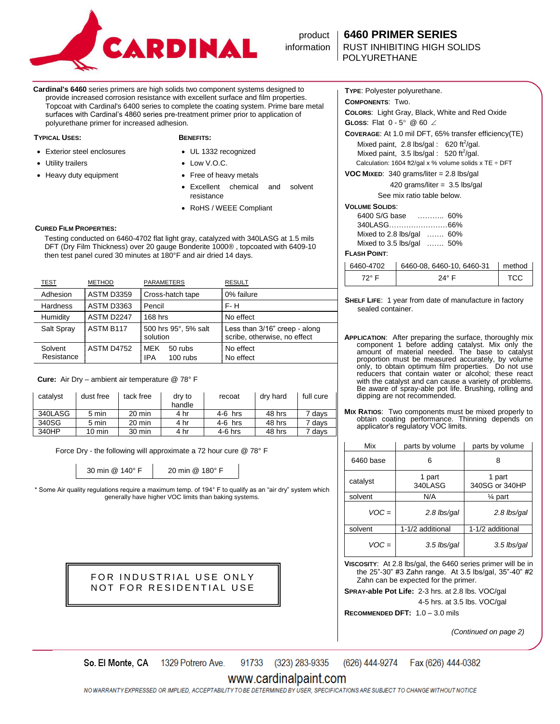

# product **6460 PRIMER SERIES**

POLYURETHANE

**Cardinal's 6460** series primers are high solids two component systems designed to provide increased corrosion resistance with excellent surface and film properties. Topcoat with Cardinal's 6400 series to complete the coating system. Prime bare metal surfaces with Cardinal's 4860 series pre-treatment primer prior to application of polyurethane primer for increased adhesion.

### **TYPICAL USES: BENEFITS:**

- Exterior steel enclosures
- Utility trailers
- Heavy duty equipment

- UL 1332 recognized
- Low V.O.C.
- Free of heavy metals
- Excellent chemical and solvent resistance
- RoHS / WEEE Compliant

### **CURED FILM PROPERTIES:**

 Testing conducted on 6460-4702 flat light gray, catalyzed with 340LASG at 1.5 mils DFT (Dry Film Thickness) over 20 gauge Bonderite 1000® , topcoated with 6409-10 then test panel cured 30 minutes at 180°F and air dried 14 days.

| TEST                  | <b>METHOD</b>     | PARAMETERS                               | <b>RESULT</b>                                                 |
|-----------------------|-------------------|------------------------------------------|---------------------------------------------------------------|
| Adhesion              | <b>ASTM D3359</b> | Cross-hatch tape                         | 0% failure                                                    |
| <b>Hardness</b>       | ASTM D3363        | Pencil                                   | $F - H$                                                       |
| Humidity              | ASTM D2247        | 168 hrs                                  | No effect                                                     |
| Salt Spray            | ASTM B117         | 500 hrs 95°, 5% salt<br>solution         | Less than 3/16" creep - along<br>scribe, otherwise, no effect |
| Solvent<br>Resistance | <b>ASTM D4752</b> | MFK<br>50 rubs<br><b>IPA</b><br>100 rubs | No effect<br>No effect                                        |

## **Cure:** Air Dry – ambient air temperature @ 78° F

| catalyst | dust free        | tack free | dry to<br>handle | recoat    | dry hard | full cure         |
|----------|------------------|-----------|------------------|-----------|----------|-------------------|
| 340LASG  | 5 min            | 20 min    | 4 hr             | $4-6$ hrs | 48 hrs   | 7 days            |
| 340SG    | 5 min            | 20 min    | 4 hr             | $4-6$ hrs | 48 hrs   | <sup>7</sup> days |
| 340HP    | $10 \text{ min}$ | 30 min    | 4 hr             | $4-6$ hrs | 48 hrs   | davs              |

Force Dry - the following will approximate a 72 hour cure @ 78° F

30 min @ 140° F 20 min @ 180° F

\* Some Air quality regulations require a maximum temp. of 194° F to qualify as an "air dry" system which generally have higher VOC limits than baking systems.

> FOR INDUSTRIAL USE ONLY NOT FOR RESIDENTIAL USE

**TYPE**: Polyester polyurethane. **COMPONENTS**: Two.

**COLORS**: Light Gray, Black, White and Red Oxide

**GLOSS:** Flat  $0 - 5^{\circ}$  @ 60  $\angle$ 

**COVERAGE**: At 1.0 mil DFT, 65% transfer efficiency(TE)

Mixed paint,  $2.8$  lbs/gal: 620 ft<sup>2</sup>/gal. Mixed paint,  $3.5$  lbs/gal :  $520$  ft<sup>2</sup>/gal. Calculation: 1604 ft2/gal x % volume solids x TE  $\div$  DFT

**VOC MIXED**: 340 grams/liter = 2.8 lbs/gal

| 420 grams/liter = $3.5$ lbs/gal |
|---------------------------------|
|                                 |

See mix ratio table below.

## **VOLUME SOLIDS**:

| 6400 S/G base                         | . 60% |  |
|---------------------------------------|-------|--|
|                                       |       |  |
| Mixed to 2.8 lbs/gal  60%             |       |  |
| Mixed to $3.5$ lbs/gal $\ldots$ . 50% |       |  |

### **FLASH POINT**:

| 6460-4702 | 6460-08, 6460-10, 6460-31 | l method |
|-----------|---------------------------|----------|
| 72° E     | $24^\circ$ F              | TCC      |

**SHELF LIFE**: 1 year from date of manufacture in factory sealed container.

**APPLICATION**: After preparing the surface, thoroughly mix component 1 before adding catalyst. Mix only the amount of material needed. The base to catalyst proportion must be measured accurately, by volume only, to obtain optimum film properties. Do not use reducers that contain water or alcohol; these react with the catalyst and can cause a variety of problems. Be aware of spray-able pot life. Brushing, rolling and dipping are not recommended.

**MIX RATIOS**: Two components must be mixed properly to obtain coating performance. Thinning depends on applicator's regulatory VOC limits.

| Mix       | parts by volume   | parts by volume          |
|-----------|-------------------|--------------------------|
| 6460 base | 6                 | 8                        |
| catalyst  | 1 part<br>340LASG | 1 part<br>340SG or 340HP |
| solvent   | N/A               | 1⁄4 part                 |
| $VOC =$   | 2.8 lbs/gal       | 2.8 lbs/gal              |
| solvent   | 1-1/2 additional  | 1-1/2 additional         |
| $VOC =$   | 3.5 lbs/gal       | 3.5 lbs/gal              |

**VISCOSITY**: At 2.8 lbs/gal, the 6460 series primer will be in the 25"-30" #3 Zahn range. At 3.5 lbs/gal, 35"-40" #2 Zahn can be expected for the primer.

**SPRAY-able Pot Life:** 2-3 hrs. at 2.8 lbs. VOC/gal

4-5 hrs. at 3.5 lbs. VOC/gal

**RECOMMENDED DFT:** 1.0 – 3.0 mils

*(Continued on page 2)*

1329 Potrero Ave. 91733 (323) 283-9335 (626) 444-9274 So. El Monte, CA Fax (626) 444-0382

# www.cardinalpaint.com

NOWARRANTY EXPRESSED OR IMPLIED, ACCEPTABILITY TO BE DETERMINED BY USER, SPECIFICATIONS ARE SUBJECT TO CHANGE WITHOUT NOTICE